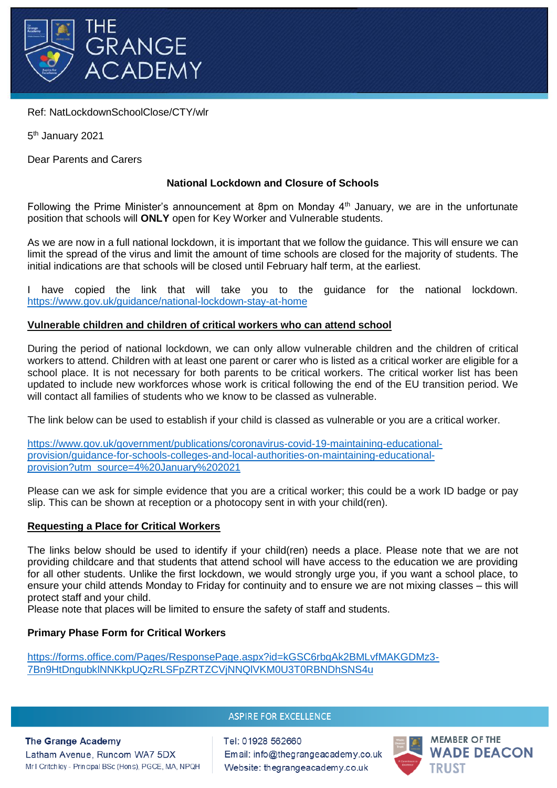

Ref: NatLockdownSchoolClose/CTY/wlr

5<sup>th</sup> January 2021

Dear Parents and Carers

# **National Lockdown and Closure of Schools**

Following the Prime Minister's announcement at 8pm on Monday  $4<sup>th</sup>$  January, we are in the unfortunate position that schools will **ONLY** open for Key Worker and Vulnerable students.

As we are now in a full national lockdown, it is important that we follow the guidance. This will ensure we can limit the spread of the virus and limit the amount of time schools are closed for the majority of students. The initial indications are that schools will be closed until February half term, at the earliest.

I have copied the link that will take you to the guidance for the national lockdown. <https://www.gov.uk/guidance/national-lockdown-stay-at-home>

# **Vulnerable children and children of critical workers who can attend school**

During the period of national lockdown, we can only allow vulnerable children and the children of critical workers to attend. Children with at least one parent or carer who is listed as a critical worker are eligible for a school place. It is not necessary for both parents to be critical workers. The critical worker list has been updated to include new workforces whose work is critical following the end of the EU transition period. We will contact all families of students who we know to be classed as vulnerable.

The link below can be used to establish if your child is classed as vulnerable or you are a critical worker.

[https://www.gov.uk/government/publications/coronavirus-covid-19-maintaining-educational](https://www.gov.uk/government/publications/coronavirus-covid-19-maintaining-educational-provision/guidance-for-schools-colleges-and-local-authorities-on-maintaining-educational-provision?utm_source=4%20January%202021)[provision/guidance-for-schools-colleges-and-local-authorities-on-maintaining-educational](https://www.gov.uk/government/publications/coronavirus-covid-19-maintaining-educational-provision/guidance-for-schools-colleges-and-local-authorities-on-maintaining-educational-provision?utm_source=4%20January%202021)[provision?utm\\_source=4%20January%202021](https://www.gov.uk/government/publications/coronavirus-covid-19-maintaining-educational-provision/guidance-for-schools-colleges-and-local-authorities-on-maintaining-educational-provision?utm_source=4%20January%202021)

Please can we ask for simple evidence that you are a critical worker; this could be a work ID badge or pay slip. This can be shown at reception or a photocopy sent in with your child(ren).

# **Requesting a Place for Critical Workers**

The links below should be used to identify if your child(ren) needs a place. Please note that we are not providing childcare and that students that attend school will have access to the education we are providing for all other students. Unlike the first lockdown, we would strongly urge you, if you want a school place, to ensure your child attends Monday to Friday for continuity and to ensure we are not mixing classes – this will protect staff and your child.

Please note that places will be limited to ensure the safety of staff and students.

# **Primary Phase Form for Critical Workers**

[https://forms.office.com/Pages/ResponsePage.aspx?id=kGSC6rbgAk2BMLvfMAKGDMz3-](https://forms.office.com/Pages/ResponsePage.aspx?id=kGSC6rbgAk2BMLvfMAKGDMz3-7Bn9HtDngubklNNKkpUQzRLSFpZRTZCVjNNQlVKM0U3T0RBNDhSNS4u) [7Bn9HtDngubklNNKkpUQzRLSFpZRTZCVjNNQlVKM0U3T0RBNDhSNS4u](https://forms.office.com/Pages/ResponsePage.aspx?id=kGSC6rbgAk2BMLvfMAKGDMz3-7Bn9HtDngubklNNKkpUQzRLSFpZRTZCVjNNQlVKM0U3T0RBNDhSNS4u)

# **ASPIRE FOR EXCELLENCE**

#### **The Grange Academy**

Latham Avenue, Runcom WA7 5DX Mr I Critchley - Principal BSc (Hons), PGCE, MA, NPQH Tel: 01928 562660 Email: info@thegrangeacademy.co.uk Website: thegrangeacademy.co.uk

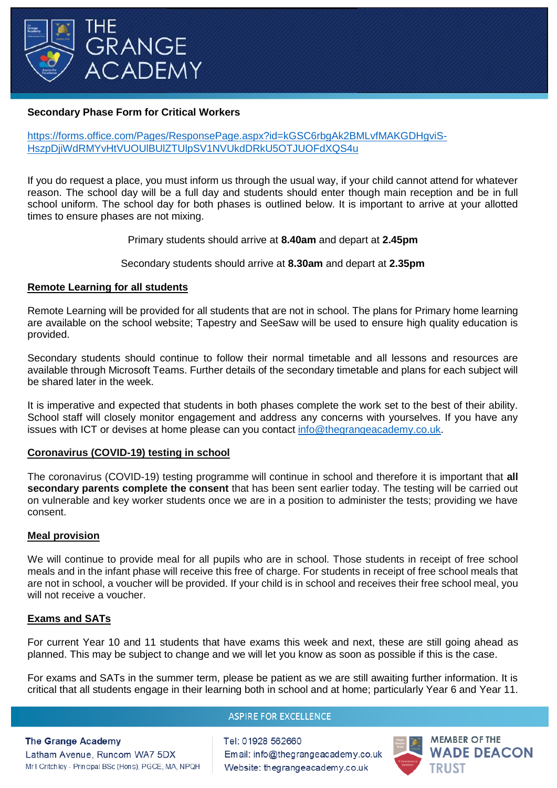

## **Secondary Phase Form for Critical Workers**

## [https://forms.office.com/Pages/ResponsePage.aspx?id=kGSC6rbgAk2BMLvfMAKGDHgviS-](https://forms.office.com/Pages/ResponsePage.aspx?id=kGSC6rbgAk2BMLvfMAKGDHgviS-HszpDjiWdRMYvHtVUOUlBUlZTUlpSV1NVUkdDRkU5OTJUOFdXQS4u)[HszpDjiWdRMYvHtVUOUlBUlZTUlpSV1NVUkdDRkU5OTJUOFdXQS4u](https://forms.office.com/Pages/ResponsePage.aspx?id=kGSC6rbgAk2BMLvfMAKGDHgviS-HszpDjiWdRMYvHtVUOUlBUlZTUlpSV1NVUkdDRkU5OTJUOFdXQS4u)

If you do request a place, you must inform us through the usual way, if your child cannot attend for whatever reason. The school day will be a full day and students should enter though main reception and be in full school uniform. The school day for both phases is outlined below. It is important to arrive at your allotted times to ensure phases are not mixing.

Primary students should arrive at **8.40am** and depart at **2.45pm**

### Secondary students should arrive at **8.30am** and depart at **2.35pm**

### **Remote Learning for all students**

Remote Learning will be provided for all students that are not in school. The plans for Primary home learning are available on the school website; Tapestry and SeeSaw will be used to ensure high quality education is provided.

Secondary students should continue to follow their normal timetable and all lessons and resources are available through Microsoft Teams. Further details of the secondary timetable and plans for each subject will be shared later in the week.

It is imperative and expected that students in both phases complete the work set to the best of their ability. School staff will closely monitor engagement and address any concerns with yourselves. If you have any issues with ICT or devises at home please can you contact [info@thegrangeacademy.co.uk.](mailto:info@thegrangeacademy.co.uk)

#### **Coronavirus (COVID-19) testing in school**

The coronavirus (COVID-19) testing programme will continue in school and therefore it is important that **all secondary parents complete the consent** that has been sent earlier today. The testing will be carried out on vulnerable and key worker students once we are in a position to administer the tests; providing we have consent.

#### **Meal provision**

We will continue to provide meal for all pupils who are in school. Those students in receipt of free school meals and in the infant phase will receive this free of charge. For students in receipt of free school meals that are not in school, a voucher will be provided. If your child is in school and receives their free school meal, you will not receive a voucher.

# **Exams and SATs**

For current Year 10 and 11 students that have exams this week and next, these are still going ahead as planned. This may be subject to change and we will let you know as soon as possible if this is the case.

For exams and SATs in the summer term, please be patient as we are still awaiting further information. It is critical that all students engage in their learning both in school and at home; particularly Year 6 and Year 11.

# **ASPIRE FOR EXCELLENCE**

#### **The Grange Academy**

Latham Avenue, Runcom WA7 5DX Mr I Critchley - Principal BSc (Hons), PGCE, MA, NPQH Tel: 01928 562660 Email: info@thegrangeacademy.co.uk Website: thegrangeacademy.co.uk